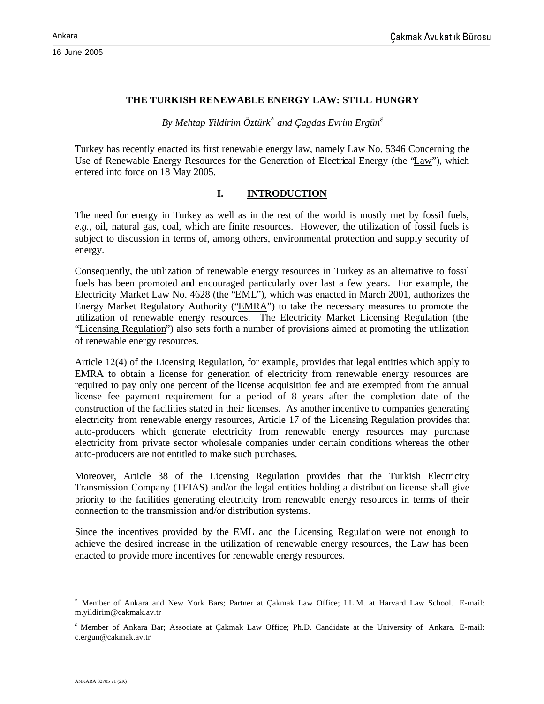16 June 2005

### **THE TURKISH RENEWABLE ENERGY LAW: STILL HUNGRY**

*By Mehtap Yildirim Öztürk*<sup>∗</sup> *and Çagdas Evrim Ergün*<sup>ε</sup>

Turkey has recently enacted its first renewable energy law, namely Law No. 5346 Concerning the Use of Renewable Energy Resources for the Generation of Electrical Energy (the "Law"), which entered into force on 18 May 2005.

### **I. INTRODUCTION**

The need for energy in Turkey as well as in the rest of the world is mostly met by fossil fuels, *e.g.*, oil, natural gas, coal, which are finite resources. However, the utilization of fossil fuels is subject to discussion in terms of, among others, environmental protection and supply security of energy.

Consequently, the utilization of renewable energy resources in Turkey as an alternative to fossil fuels has been promoted and encouraged particularly over last a few years. For example, the Electricity Market Law No. 4628 (the "EML"), which was enacted in March 2001, authorizes the Energy Market Regulatory Authority ("EMRA") to take the necessary measures to promote the utilization of renewable energy resources. The Electricity Market Licensing Regulation (the "Licensing Regulation") also sets forth a number of provisions aimed at promoting the utilization of renewable energy resources.

Article 12(4) of the Licensing Regulation, for example, provides that legal entities which apply to EMRA to obtain a license for generation of electricity from renewable energy resources are required to pay only one percent of the license acquisition fee and are exempted from the annual license fee payment requirement for a period of 8 years after the completion date of the construction of the facilities stated in their licenses. As another incentive to companies generating electricity from renewable energy resources, Article 17 of the Licensing Regulation provides that auto-producers which generate electricity from renewable energy resources may purchase electricity from private sector wholesale companies under certain conditions whereas the other auto-producers are not entitled to make such purchases.

Moreover, Article 38 of the Licensing Regulation provides that the Turkish Electricity Transmission Company (TEIAS) and/or the legal entities holding a distribution license shall give priority to the facilities generating electricity from renewable energy resources in terms of their connection to the transmission and/or distribution systems.

Since the incentives provided by the EML and the Licensing Regulation were not enough to achieve the desired increase in the utilization of renewable energy resources, the Law has been enacted to provide more incentives for renewable energy resources.

<sup>×</sup>  Member of Ankara and New York Bars; Partner at Çakmak Law Office; LL.M. at Harvard Law School. E-mail: m.yildirim@cakmak.av.tr

<sup>&</sup>lt;sup>&</sup> Member of Ankara Bar; Associate at Çakmak Law Office; Ph.D. Candidate at the University of Ankara. E-mail: c.ergun@cakmak.av.tr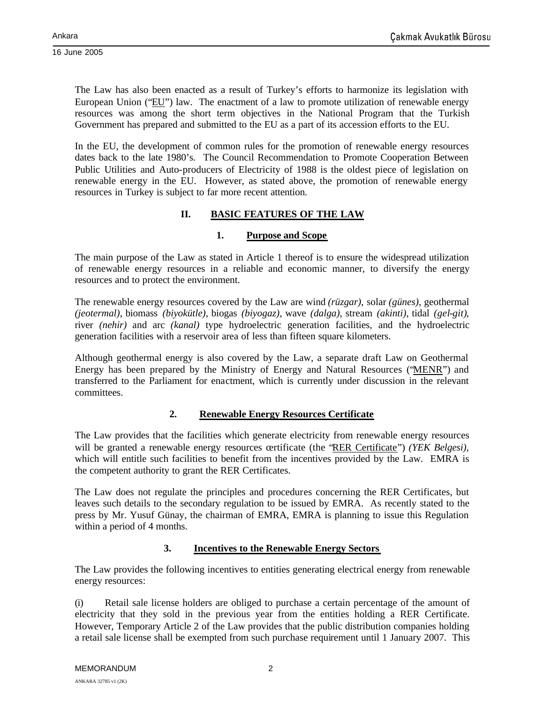16 June 2005

The Law has also been enacted as a result of Turkey's efforts to harmonize its legislation with European Union ("EU") law. The enactment of a law to promote utilization of renewable energy resources was among the short term objectives in the National Program that the Turkish Government has prepared and submitted to the EU as a part of its accession efforts to the EU.

In the EU, the development of common rules for the promotion of renewable energy resources dates back to the late 1980's. The Council Recommendation to Promote Cooperation Between Public Utilities and Auto-producers of Electricity of 1988 is the oldest piece of legislation on renewable energy in the EU. However, as stated above, the promotion of renewable energy resources in Turkey is subject to far more recent attention.

# **II. BASIC FEATURES OF THE LAW**

## **1. Purpose and Scope**

The main purpose of the Law as stated in Article 1 thereof is to ensure the widespread utilization of renewable energy resources in a reliable and economic manner, to diversify the energy resources and to protect the environment.

The renewable energy resources covered by the Law are wind *(rüzgar)*, solar *(günes)*, geothermal *(jeotermal)*, biomass *(biyokütle)*, biogas *(biyogaz),* wave *(dalga)*, stream *(akinti)*, tidal *(gel-git)*, river *(nehir)* and arc *(kanal)* type hydroelectric generation facilities, and the hydroelectric generation facilities with a reservoir area of less than fifteen square kilometers.

Although geothermal energy is also covered by the Law, a separate draft Law on Geothermal Energy has been prepared by the Ministry of Energy and Natural Resources ("MENR") and transferred to the Parliament for enactment, which is currently under discussion in the relevant committees.

## **2. Renewable Energy Resources Certificate**

The Law provides that the facilities which generate electricity from renewable energy resources will be granted a renewable energy resources certificate (the "RER Certificate") *(YEK Belgesi),* which will entitle such facilities to benefit from the incentives provided by the Law. EMRA is the competent authority to grant the RER Certificates.

The Law does not regulate the principles and procedures concerning the RER Certificates, but leaves such details to the secondary regulation to be issued by EMRA. As recently stated to the press by Mr. Yusuf Günay, the chairman of EMRA, EMRA is planning to issue this Regulation within a period of 4 months.

## **3. Incentives to the Renewable Energy Sectors**

The Law provides the following incentives to entities generating electrical energy from renewable energy resources:

(i) Retail sale license holders are obliged to purchase a certain percentage of the amount of electricity that they sold in the previous year from the entities holding a RER Certificate. However, Temporary Article 2 of the Law provides that the public distribution companies holding a retail sale license shall be exempted from such purchase requirement until 1 January 2007. This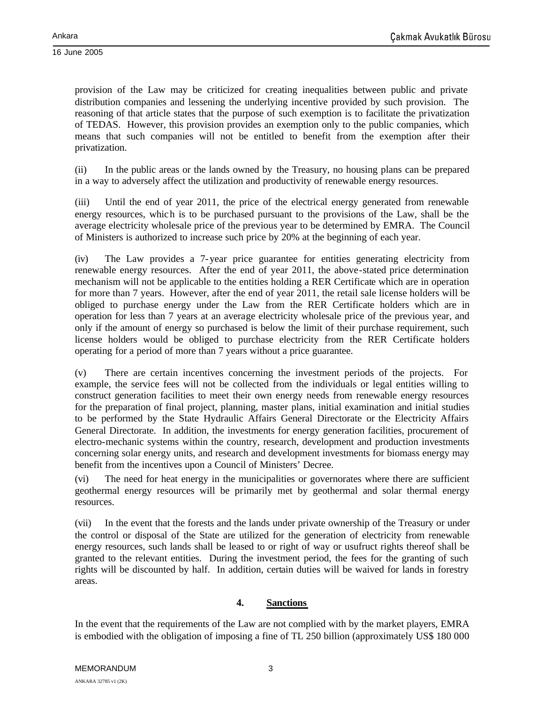provision of the Law may be criticized for creating inequalities between public and private distribution companies and lessening the underlying incentive provided by such provision. The reasoning of that article states that the purpose of such exemption is to facilitate the privatization of TEDAS. However, this provision provides an exemption only to the public companies, which means that such companies will not be entitled to benefit from the exemption after their privatization.

(ii) In the public areas or the lands owned by the Treasury, no housing plans can be prepared in a way to adversely affect the utilization and productivity of renewable energy resources.

(iii) Until the end of year 2011, the price of the electrical energy generated from renewable energy resources, which is to be purchased pursuant to the provisions of the Law, shall be the average electricity wholesale price of the previous year to be determined by EMRA. The Council of Ministers is authorized to increase such price by 20% at the beginning of each year.

(iv) The Law provides a 7-year price guarantee for entities generating electricity from renewable energy resources. After the end of year 2011, the above-stated price determination mechanism will not be applicable to the entities holding a RER Certificate which are in operation for more than 7 years. However, after the end of year 2011, the retail sale license holders will be obliged to purchase energy under the Law from the RER Certificate holders which are in operation for less than 7 years at an average electricity wholesale price of the previous year, and only if the amount of energy so purchased is below the limit of their purchase requirement, such license holders would be obliged to purchase electricity from the RER Certificate holders operating for a period of more than 7 years without a price guarantee.

(v) There are certain incentives concerning the investment periods of the projects. For example, the service fees will not be collected from the individuals or legal entities willing to construct generation facilities to meet their own energy needs from renewable energy resources for the preparation of final project, planning, master plans, initial examination and initial studies to be performed by the State Hydraulic Affairs General Directorate or the Electricity Affairs General Directorate. In addition, the investments for energy generation facilities, procurement of electro-mechanic systems within the country, research, development and production investments concerning solar energy units, and research and development investments for biomass energy may benefit from the incentives upon a Council of Ministers' Decree.

(vi) The need for heat energy in the municipalities or governorates where there are sufficient geothermal energy resources will be primarily met by geothermal and solar thermal energy resources.

(vii) In the event that the forests and the lands under private ownership of the Treasury or under the control or disposal of the State are utilized for the generation of electricity from renewable energy resources, such lands shall be leased to or right of way or usufruct rights thereof shall be granted to the relevant entities. During the investment period, the fees for the granting of such rights will be discounted by half. In addition, certain duties will be waived for lands in forestry areas.

## **4. Sanctions**

In the event that the requirements of the Law are not complied with by the market players, EMRA is embodied with the obligation of imposing a fine of TL 250 billion (approximately US\$ 180 000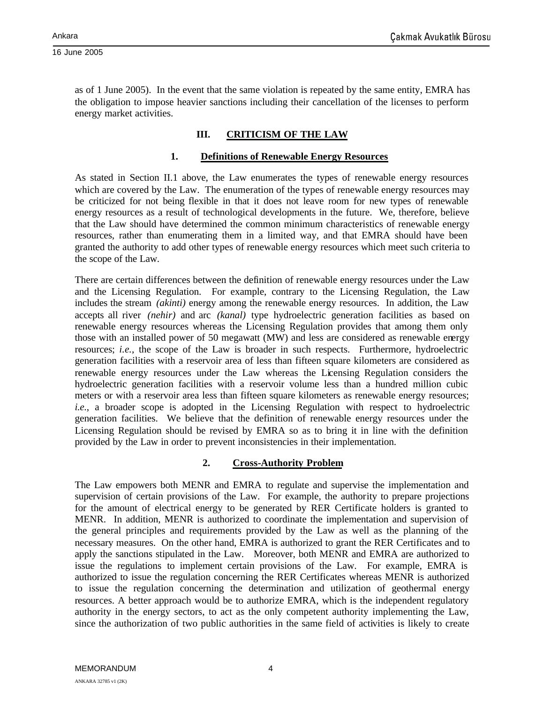as of 1 June 2005). In the event that the same violation is repeated by the same entity, EMRA has the obligation to impose heavier sanctions including their cancellation of the licenses to perform energy market activities.

# **III. CRITICISM OF THE LAW**

## **1. Definitions of Renewable Energy Resources**

As stated in Section II.1 above, the Law enumerates the types of renewable energy resources which are covered by the Law. The enumeration of the types of renewable energy resources may be criticized for not being flexible in that it does not leave room for new types of renewable energy resources as a result of technological developments in the future. We, therefore, believe that the Law should have determined the common minimum characteristics of renewable energy resources, rather than enumerating them in a limited way, and that EMRA should have been granted the authority to add other types of renewable energy resources which meet such criteria to the scope of the Law.

There are certain differences between the definition of renewable energy resources under the Law and the Licensing Regulation. For example, contrary to the Licensing Regulation, the Law includes the stream *(akinti)* energy among the renewable energy resources. In addition, the Law accepts all river *(nehir)* and arc *(kanal)* type hydroelectric generation facilities as based on renewable energy resources whereas the Licensing Regulation provides that among them only those with an installed power of 50 megawatt (MW) and less are considered as renewable energy resources; *i.e.*, the scope of the Law is broader in such respects. Furthermore, hydroelectric generation facilities with a reservoir area of less than fifteen square kilometers are considered as renewable energy resources under the Law whereas the Licensing Regulation considers the hydroelectric generation facilities with a reservoir volume less than a hundred million cubic meters or with a reservoir area less than fifteen square kilometers as renewable energy resources; *i.e.*, a broader scope is adopted in the Licensing Regulation with respect to hydroelectric generation facilities. We believe that the definition of renewable energy resources under the Licensing Regulation should be revised by EMRA so as to bring it in line with the definition provided by the Law in order to prevent inconsistencies in their implementation.

## **2. Cross-Authority Problem**

The Law empowers both MENR and EMRA to regulate and supervise the implementation and supervision of certain provisions of the Law. For example, the authority to prepare projections for the amount of electrical energy to be generated by RER Certificate holders is granted to MENR. In addition, MENR is authorized to coordinate the implementation and supervision of the general principles and requirements provided by the Law as well as the planning of the necessary measures. On the other hand, EMRA is authorized to grant the RER Certificates and to apply the sanctions stipulated in the Law. Moreover, both MENR and EMRA are authorized to issue the regulations to implement certain provisions of the Law. For example, EMRA is authorized to issue the regulation concerning the RER Certificates whereas MENR is authorized to issue the regulation concerning the determination and utilization of geothermal energy resources. A better approach would be to authorize EMRA, which is the independent regulatory authority in the energy sectors, to act as the only competent authority implementing the Law, since the authorization of two public authorities in the same field of activities is likely to create